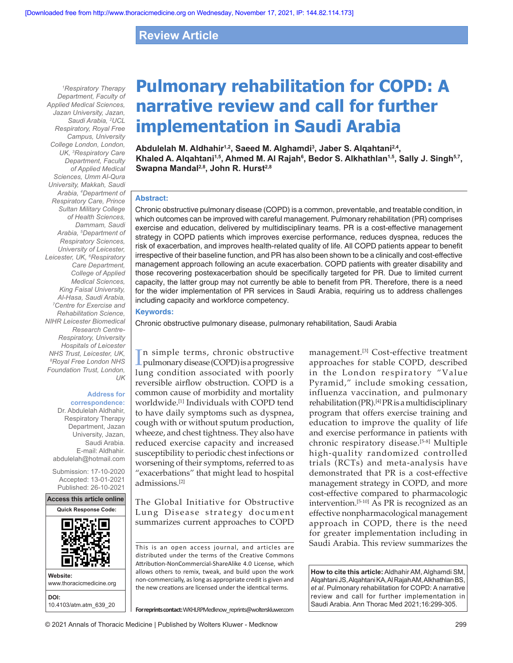# **Review Article**

*1 Respiratory Therapy Department, Faculty of Applied Medical Sciences, Jazan University, Jazan, Saudi Arabia, 2 UCL Respiratory, Royal Free Campus, University College London, London, UK, 3 Respiratory Care Department, Faculty of Applied Medical Sciences, Umm Al-Qura University, Makkah, Saudi Arabia, 4 Department of Respiratory Care, Prince Sultan Military College of Health Sciences, Dammam, Saudi Arabia, 5 Department of Respiratory Sciences, University of Leicester, Leicester, UK, 6 Respiratory Care Department, College of Applied Medical Sciences, King Faisal University, Al-Hasa, Saudi Arabia, 7 Centre for Exercise and Rehabilitation Science, NIHR Leicester Biomedical Research Centre-Respiratory, University Hospitals of Leicester NHS Trust, Leicester, UK, 8 Royal Free London NHS Foundation Trust, London, UK*

#### **Address for correspondence:**

Dr. Abdulelah Aldhahir, Respiratory Therapy Department, Jazan University, Jazan, Saudi Arabia. E‑mail: Aldhahir. abdulelah@hotmail.com

Submission: 17‑10‑2020 Accepted: 13‑01‑2021 Published: 26-10-2021



# **Pulmonary rehabilitation for COPD: A narrative review and call for further implementation in Saudi Arabia**

**Abdulelah M. Aldhahir1,2, Saeed M. Alghamdi3 , Jaber S. Alqahtani2,4,** Khaled A. Alqahtani<sup>1,5</sup>, Ahmed M. Al Rajah<sup>s</sup>, Bedor S. Alkhathlan<sup>1,5</sup>, Sally J. Singh<sup>5,7</sup>, Swapna Mandal<sup>2,8</sup>, John R. Hurst<sup>2,8</sup>

### **Abstract:**

Chronic obstructive pulmonary disease (COPD) is a common, preventable, and treatable condition, in which outcomes can be improved with careful management. Pulmonary rehabilitation (PR) comprises exercise and education, delivered by multidisciplinary teams. PR is a cost-effective management strategy in COPD patients which improves exercise performance, reduces dyspnea, reduces the risk of exacerbation, and improves health-related quality of life. All COPD patients appear to benefit irrespective of their baseline function, and PR has also been shown to be a clinically and cost-effective management approach following an acute exacerbation. COPD patients with greater disability and those recovering postexacerbation should be specifically targeted for PR. Due to limited current capacity, the latter group may not currently be able to benefit from PR. Therefore, there is a need for the wider implementation of PR services in Saudi Arabia, requiring us to address challenges including capacity and workforce competency.

#### **Keywords:**

Chronic obstructive pulmonary disease, pulmonary rehabilitation, Saudi Arabia

In simple terms, chronic obstructive<br>pulmonary disease (COPD) is a progressive n simple terms, chronic obstructive lung condition associated with poorly reversible airflow obstruction. COPD is a common cause of morbidity and mortality worldwide.[1] Individuals with COPD tend to have daily symptoms such as dyspnea, cough with or without sputum production, wheeze, and chest tightness. They also have reduced exercise capacity and increased susceptibility to periodic chest infections or worsening of their symptoms, referred to as "exacerbations" that might lead to hospital admissions.[2]

The Global Initiative for Obstructive Lung Disease strategy document summarizes current approaches to COPD

This is an open access journal, and articles are distributed under the terms of the Creative Commons Attribution‑NonCommercial‑ShareAlike 4.0 License, which allows others to remix, tweak, and build upon the work non‑commercially, as long as appropriate credit is given and the new creations are licensed under the identical terms.

management.<sup>[3]</sup> Cost-effective treatment approaches for stable COPD, described in the London respiratory "Value Pyramid," include smoking cessation, influenza vaccination, and pulmonary rehabilitation(PR).[4] PR is a multidisciplinary program that offers exercise training and education to improve the quality of life and exercise performance in patients with chronic respiratory disease.<sup>[5-8]</sup> Multiple high‑quality randomized controlled trials (RCTs) and meta‑analysis have demonstrated that PR is a cost-effective management strategy in COPD, and more cost‑effective compared to pharmacologic intervention.[5‑10] As PR is recognized as an effective nonpharmacological management approach in COPD, there is the need for greater implementation including in Saudi Arabia. This review summarizes the

**How to cite this article:** Aldhahir AM, Alghamdi SM, Alqahtani JS, Alqahtani KA, Al Rajah AM, Alkhathlan BS, *et al*. Pulmonary rehabilitation for COPD: A narrative review and call for further implementation in Saudi Arabia. Ann Thorac Med 2021;16:299-305.

**For reprints contact:** WKHLRPMedknow\_reprints@wolterskluwer.com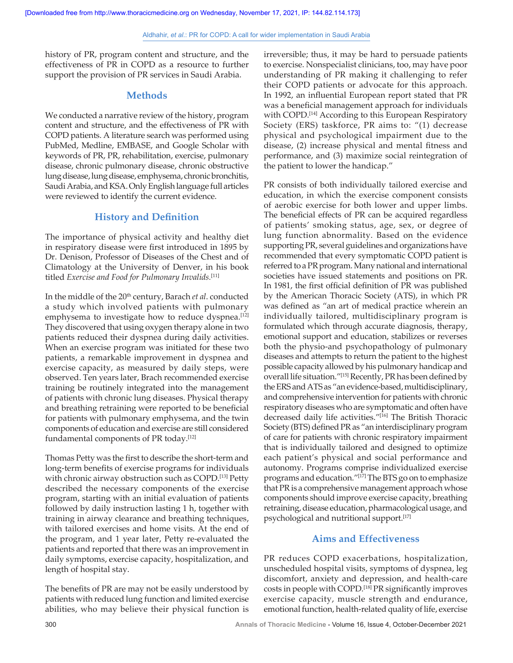history of PR, program content and structure, and the effectiveness of PR in COPD as a resource to further support the provision of PR services in Saudi Arabia.

## **Methods**

We conducted a narrative review of the history, program content and structure, and the effectiveness of PR with COPD patients. A literature search was performed using PubMed, Medline, EMBASE, and Google Scholar with keywords of PR, PR, rehabilitation, exercise, pulmonary disease, chronic pulmonary disease, chronic obstructive lung disease, lung disease, emphysema, chronic bronchitis, Saudi Arabia, and KSA. Only English language full articles were reviewed to identify the current evidence.

## **History and Definition**

The importance of physical activity and healthy diet in respiratory disease were first introduced in 1895 by Dr. Denison, Professor of Diseases of the Chest and of Climatology at the University of Denver, in his book titled *Exercise and Food for Pulmonary Invalids.*[11]

In the middle of the 20th century, Barach *et al*. conducted a study which involved patients with pulmonary emphysema to investigate how to reduce dyspnea.<sup>[12]</sup> They discovered that using oxygen therapy alone in two patients reduced their dyspnea during daily activities. When an exercise program was initiated for these two patients, a remarkable improvement in dyspnea and exercise capacity, as measured by daily steps, were observed. Ten years later, Brach recommended exercise training be routinely integrated into the management of patients with chronic lung diseases. Physical therapy and breathing retraining were reported to be beneficial for patients with pulmonary emphysema, and the twin components of education and exercise are still considered fundamental components of PR today.<sup>[12]</sup>

Thomas Petty was the first to describe the short‑term and long-term benefits of exercise programs for individuals with chronic airway obstruction such as COPD.<sup>[13]</sup> Petty described the necessary components of the exercise program, starting with an initial evaluation of patients followed by daily instruction lasting 1 h, together with training in airway clearance and breathing techniques, with tailored exercises and home visits. At the end of the program, and 1 year later, Petty re‑evaluated the patients and reported that there was an improvement in daily symptoms, exercise capacity, hospitalization, and length of hospital stay.

The benefits of PR are may not be easily understood by patients with reduced lung function and limited exercise abilities, who may believe their physical function is irreversible; thus, it may be hard to persuade patients to exercise. Nonspecialist clinicians, too, may have poor understanding of PR making it challenging to refer their COPD patients or advocate for this approach. In 1992, an influential European report stated that PR was a beneficial management approach for individuals with COPD.<sup>[14]</sup> According to this European Respiratory Society (ERS) taskforce, PR aims to: "(1) decrease physical and psychological impairment due to the disease, (2) increase physical and mental fitness and performance, and (3) maximize social reintegration of the patient to lower the handicap."

PR consists of both individually tailored exercise and education, in which the exercise component consists of aerobic exercise for both lower and upper limbs. The beneficial effects of PR can be acquired regardless of patients' smoking status, age, sex, or degree of lung function abnormality. Based on the evidence supporting PR, several guidelines and organizations have recommended that every symptomatic COPD patient is referred to a PR program. Many national and international societies have issued statements and positions on PR. In 1981, the first official definition of PR was published by the American Thoracic Society (ATS), in which PR was defined as "an art of medical practice wherein an individually tailored, multidisciplinary program is formulated which through accurate diagnosis, therapy, emotional support and education, stabilizes or reverses both the physio-and psychopathology of pulmonary diseases and attempts to return the patient to the highest possible capacity allowed by his pulmonary handicap and overall life situation."[15] Recently, PR has been defined by the ERS and ATS as "an evidence‑based, multidisciplinary, and comprehensive intervention for patients with chronic respiratory diseases who are symptomatic and often have decreased daily life activities."[16] The British Thoracic Society (BTS) defined PR as "an interdisciplinary program of care for patients with chronic respiratory impairment that is individually tailored and designed to optimize each patient's physical and social performance and autonomy. Programs comprise individualized exercise programs and education."[17] The BTS go on to emphasize that PR is a comprehensive management approach whose components should improve exercise capacity, breathing retraining, disease education, pharmacological usage, and psychological and nutritional support.[17]

## **Aims and Effectiveness**

PR reduces COPD exacerbations, hospitalization, unscheduled hospital visits, symptoms of dyspnea, leg discomfort, anxiety and depression, and health-care costs in people with COPD.<sup>[18]</sup> PR significantly improves exercise capacity, muscle strength and endurance, emotional function, health-related quality of life, exercise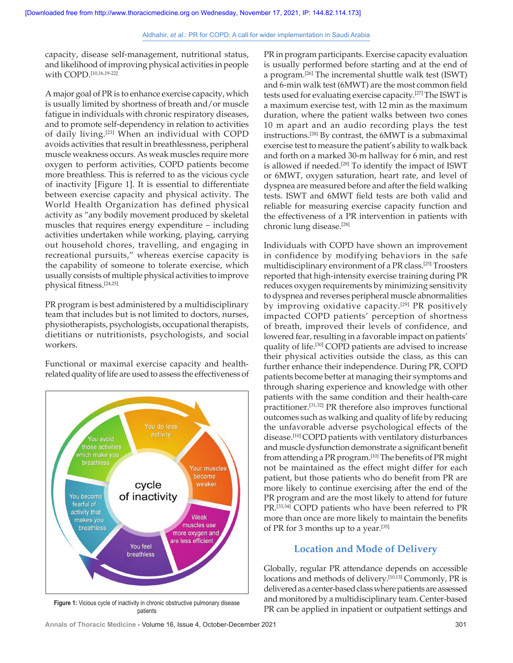capacity, disease self‑management, nutritional status, and likelihood of improving physical activities in people with COPD. [10,16,19‑22]

A major goal of PR is to enhance exercise capacity, which is usually limited by shortness of breath and/or muscle fatigue in individuals with chronic respiratory diseases, and to promote self-dependency in relation to activities of daily living.[23] When an individual with COPD avoids activities that result in breathlessness, peripheral muscle weakness occurs. As weak muscles require more oxygen to perform activities, COPD patients become more breathless. This is referred to as the vicious cycle of inactivity [Figure 1]. It is essential to differentiate between exercise capacity and physical activity. The World Health Organization has defined physical activity as "any bodily movement produced by skeletal muscles that requires energy expenditure – including activities undertaken while working, playing, carrying out household chores, travelling, and engaging in recreational pursuits," whereas exercise capacity is the capability of someone to tolerate exercise, which usually consists of multiple physical activities to improve physical fitness.[24,25]

PR program is best administered by a multidisciplinary team that includes but is not limited to doctors, nurses, physiotherapists, psychologists, occupational therapists, dietitians or nutritionists, psychologists, and social workers.

Functional or maximal exercise capacity and healthrelated quality of life are used to assess the effectiveness of



patients

PR in program participants. Exercise capacity evaluation is usually performed before starting and at the end of a program.[26] The incremental shuttle walk test (ISWT) and 6‑min walk test (6MWT) are the most common field tests used for evaluating exercise capacity.[27] The ISWT is a maximum exercise test, with 12 min as the maximum duration, where the patient walks between two cones 10 m apart and an audio recording plays the test instructions.[28] By contrast, the 6MWT is a submaximal exercise test to measure the patient's ability to walk back and forth on a marked 30‑m hallway for 6 min, and rest is allowed if needed.<sup>[28]</sup> To identify the impact of ISWT or 6MWT, oxygen saturation, heart rate, and level of dyspnea are measured before and after the field walking tests. ISWT and 6MWT field tests are both valid and reliable for measuring exercise capacity function and the effectiveness of a PR intervention in patients with chronic lung disease.[28]

Individuals with COPD have shown an improvement in confidence by modifying behaviors in the safe multidisciplinary environment of a PR class.[25] Troosters reported that high-intensity exercise training during PR reduces oxygen requirements by minimizing sensitivity to dyspnea and reverses peripheral muscle abnormalities by improving oxidative capacity.<sup>[29]</sup> PR positively impacted COPD patients' perception of shortness of breath, improved their levels of confidence, and lowered fear, resulting in a favorable impact on patients' quality of life.[30] COPD patients are advised to increase their physical activities outside the class, as this can further enhance their independence. During PR, COPD patients become better at managing their symptoms and through sharing experience and knowledge with other patients with the same condition and their health-care practitioner.[31,32] PR therefore also improves functional outcomes such as walking and quality of life by reducing the unfavorable adverse psychological effects of the disease.[10] COPD patients with ventilatory disturbances and muscle dysfunction demonstrate a significant benefit from attending a PR program.<sup>[10]</sup> The benefits of PR might not be maintained as the effect might differ for each patient, but those patients who do benefit from PR are more likely to continue exercising after the end of the PR program and are the most likely to attend for future PR.<sup>[33,34]</sup> COPD patients who have been referred to PR more than once are more likely to maintain the benefits of PR for 3 months up to a year.<sup>[35]</sup>

## **Location and Mode of Delivery**

Globally, regular PR attendance depends on accessible locations and methods of delivery.[10,13] Commonly, PR is delivered as a center-based class where patients are assessed and monitored by a multidisciplinary team. Center-based PR can be applied in inpatient or outpatient settings and **Figure 1:** Vicious cycle of inactivity in chronic obstructive pulmonary disease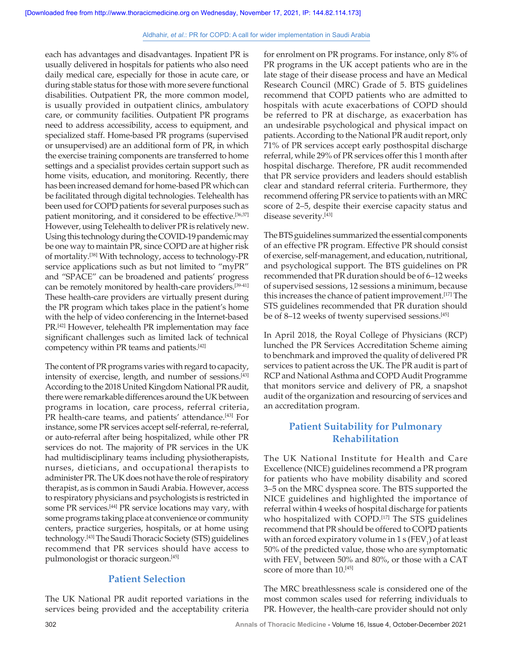each has advantages and disadvantages. Inpatient PR is usually delivered in hospitals for patients who also need daily medical care, especially for those in acute care, or during stable status for those with more severe functional disabilities. Outpatient PR, the more common model, is usually provided in outpatient clinics, ambulatory care, or community facilities. Outpatient PR programs need to address accessibility, access to equipment, and specialized staff. Home-based PR programs (supervised or unsupervised) are an additional form of PR, in which the exercise training components are transferred to home settings and a specialist provides certain support such as home visits, education, and monitoring. Recently, there has been increased demand for home-based PR which can be facilitated through digital technologies. Telehealth has been used for COPD patients for several purposes such as patient monitoring, and it considered to be effective.<sup>[36,37]</sup> However, using Telehealth to deliver PR is relatively new. Using this technology during the COVID‑19 pandemic may be one way to maintain PR, since COPD are at higher risk of mortality.<sup>[38]</sup> With technology, access to technology-PR service applications such as but not limited to "myPR" and "SPACE" can be broadened and patients' progress can be remotely monitored by health-care providers.<sup>[39-41]</sup> These health-care providers are virtually present during the PR program which takes place in the patient's home with the help of video conferencing in the Internet-based PR.[42] However, telehealth PR implementation may face significant challenges such as limited lack of technical competency within PR teams and patients.[42]

The content of PR programs varies with regard to capacity, intensity of exercise, length, and number of sessions.[43] According to the 2018 United Kingdom National PR audit, there were remarkable differences around the UK between programs in location, care process, referral criteria, PR health-care teams, and patients' attendance.<sup>[43]</sup> For instance, some PR services accept self-referral, re-referral, or auto‑referral after being hospitalized, while other PR services do not. The majority of PR services in the UK had multidisciplinary teams including physiotherapists, nurses, dieticians, and occupational therapists to administer PR. The UK does not have the role of respiratory therapist, as is common in Saudi Arabia. However, access to respiratory physicians and psychologists is restricted in some PR services.[44] PR service locations may vary, with some programs taking place at convenience or community centers, practice surgeries, hospitals, or at home using technology.[43] The Saudi Thoracic Society (STS) guidelines recommend that PR services should have access to pulmonologist or thoracic surgeon.[45]

## **Patient Selection**

The UK National PR audit reported variations in the services being provided and the acceptability criteria for enrolment on PR programs. For instance, only 8% of PR programs in the UK accept patients who are in the late stage of their disease process and have an Medical Research Council (MRC) Grade of 5. BTS guidelines recommend that COPD patients who are admitted to hospitals with acute exacerbations of COPD should be referred to PR at discharge, as exacerbation has an undesirable psychological and physical impact on patients. According to the National PR audit report, only 71% of PR services accept early posthospital discharge referral, while 29% of PR services offer this 1 month after hospital discharge. Therefore, PR audit recommended that PR service providers and leaders should establish clear and standard referral criteria. Furthermore, they recommend offering PR service to patients with an MRC score of 2–5, despite their exercise capacity status and disease severity.[43]

The BTS guidelines summarized the essential components of an effective PR program. Effective PR should consist of exercise, self‑management, and education, nutritional, and psychological support. The BTS guidelines on PR recommended that PR duration should be of 6–12 weeks of supervised sessions, 12 sessions a minimum, because this increases the chance of patient improvement.[17] The STS guidelines recommended that PR duration should be of 8–12 weeks of twenty supervised sessions.<sup>[45]</sup>

In April 2018, the Royal College of Physicians (RCP) lunched the PR Services Accreditation Scheme aiming to benchmark and improved the quality of delivered PR services to patient across the UK. The PR audit is part of RCP and National Asthma and COPD Audit Programme that monitors service and delivery of PR, a snapshot audit of the organization and resourcing of services and an accreditation program.

# **Patient Suitability for Pulmonary Rehabilitation**

The UK National Institute for Health and Care Excellence (NICE) guidelines recommend a PR program for patients who have mobility disability and scored 3–5 on the MRC dyspnea score. The BTS supported the NICE guidelines and highlighted the importance of referral within 4 weeks of hospital discharge for patients who hospitalized with COPD.<sup>[17]</sup> The STS guidelines recommend that PR should be offered to COPD patients with an forced expiratory volume in 1 s (FEV<sub>1</sub>) of at least 50% of the predicted value, those who are symptomatic with  $\text{FEV}_1$  between 50% and 80%, or those with a CAT score of more than 10.<sup>[45]</sup>

The MRC breathlessness scale is considered one of the most common scales used for referring individuals to PR. However, the health-care provider should not only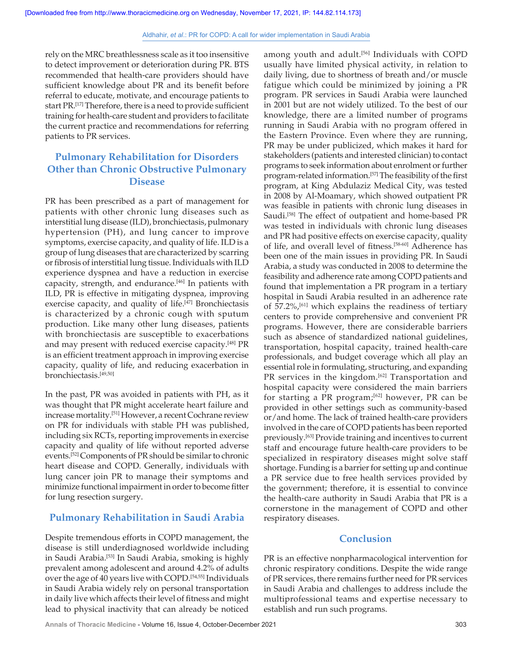rely on the MRC breathlessness scale as it too insensitive to detect improvement or deterioration during PR. BTS recommended that health-care providers should have sufficient knowledge about PR and its benefit before referral to educate, motivate, and encourage patients to start PR.<sup>[17]</sup> Therefore, there is a need to provide sufficient training for health-care student and providers to facilitate the current practice and recommendations for referring patients to PR services.

# **Pulmonary Rehabilitation for Disorders Other than Chronic Obstructive Pulmonary Disease**

PR has been prescribed as a part of management for patients with other chronic lung diseases such as interstitial lung disease (ILD), bronchiectasis, pulmonary hypertension (PH), and lung cancer to improve symptoms, exercise capacity, and quality of life. ILD is a group of lung diseases that are characterized by scarring or fibrosis of interstitial lung tissue. Individuals with ILD experience dyspnea and have a reduction in exercise capacity, strength, and endurance.<sup>[46]</sup> In patients with ILD, PR is effective in mitigating dyspnea, improving exercise capacity, and quality of life.<sup>[47]</sup> Bronchiectasis is characterized by a chronic cough with sputum production. Like many other lung diseases, patients with bronchiectasis are susceptible to exacerbations and may present with reduced exercise capacity.[48] PR is an efficient treatment approach in improving exercise capacity, quality of life, and reducing exacerbation in bronchiectasis.[49,50]

In the past, PR was avoided in patients with PH, as it was thought that PR might accelerate heart failure and increase mortality.[51] However, a recent Cochrane review on PR for individuals with stable PH was published, including six RCTs, reporting improvements in exercise capacity and quality of life without reported adverse events.[52] Components of PR should be similar to chronic heart disease and COPD. Generally, individuals with lung cancer join PR to manage their symptoms and minimize functional impairment in order to become fitter for lung resection surgery.

# **Pulmonary Rehabilitation in Saudi Arabia**

Despite tremendous efforts in COPD management, the disease is still underdiagnosed worldwide including in Saudi Arabia.[53] In Saudi Arabia, smoking is highly prevalent among adolescent and around 4.2% of adults over the age of 40 years live with COPD.[54,55] Individuals in Saudi Arabia widely rely on personal transportation in daily live which affects their level of fitness and might lead to physical inactivity that can already be noticed

among youth and adult.<sup>[56]</sup> Individuals with COPD usually have limited physical activity, in relation to daily living, due to shortness of breath and/or muscle fatigue which could be minimized by joining a PR program. PR services in Saudi Arabia were launched in 2001 but are not widely utilized. To the best of our knowledge, there are a limited number of programs running in Saudi Arabia with no program offered in the Eastern Province. Even where they are running, PR may be under publicized, which makes it hard for stakeholders (patients and interested clinician) to contact programs to seek information about enrolment or further program-related information.<sup>[57]</sup> The feasibility of the first program, at King Abdulaziz Medical City, was tested in 2008 by Al‑Moamary, which showed outpatient PR was feasible in patients with chronic lung diseases in Saudi.<sup>[58]</sup> The effect of outpatient and home-based PR was tested in individuals with chronic lung diseases and PR had positive effects on exercise capacity, quality of life, and overall level of fitness.[58‑60] Adherence has been one of the main issues in providing PR. In Saudi Arabia, a study was conducted in 2008 to determine the feasibility and adherence rate among COPD patients and found that implementation a PR program in a tertiary hospital in Saudi Arabia resulted in an adherence rate of  $57.2\%$ , <sup>[61]</sup> which explains the readiness of tertiary centers to provide comprehensive and convenient PR programs. However, there are considerable barriers such as absence of standardized national guidelines, transportation, hospital capacity, trained health-care professionals, and budget coverage which all play an essential role in formulating, structuring, and expanding PR services in the kingdom.<sup>[62]</sup> Transportation and hospital capacity were considered the main barriers for starting a PR program; $[62]$  however, PR can be provided in other settings such as community-based or/and home. The lack of trained health-care providers involved in the care of COPD patients has been reported previously.[63] Provide training and incentives to current staff and encourage future health‑care providers to be specialized in respiratory diseases might solve staff shortage. Funding is a barrier for setting up and continue a PR service due to free health services provided by the government; therefore, it is essential to convince the health‑care authority in Saudi Arabia that PR is a cornerstone in the management of COPD and other respiratory diseases.

## **Conclusion**

PR is an effective nonpharmacological intervention for chronic respiratory conditions. Despite the wide range of PR services, there remains further need for PR services in Saudi Arabia and challenges to address include the multiprofessional teams and expertise necessary to establish and run such programs.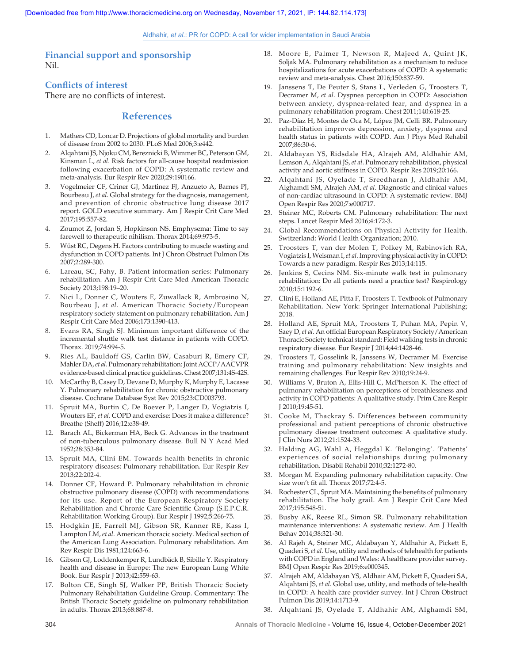**Financial support and sponsorship** Nil.

## **Conflicts of interest**

There are no conflicts of interest.

## **References**

- 1. Mathers CD, Loncar D. Projections of global mortality and burden of disease from 2002 to 2030. PLoS Med 2006;3:e442.
- 2. Alqahtani JS, Njoku CM, Bereznicki B, Wimmer BC, Peterson GM, Kinsman L, *et al*. Risk factors for all‑cause hospital readmission following exacerbation of COPD: A systematic review and meta‑analysis. Eur Respir Rev 2020;29:190166.
- 3. Vogelmeier CF, Criner GJ, Martinez FJ, Anzueto A, Barnes PJ, Bourbeau J, *et al*. Global strategy for the diagnosis, management, and prevention of chronic obstructive lung disease 2017 report. GOLD executive summary. Am J Respir Crit Care Med 2017;195:557‑82.
- 4. Zoumot Z, Jordan S, Hopkinson NS. Emphysema: Time to say farewell to therapeutic nihilism. Thorax 2014;69:973‑5.
- 5. Wüst RC, Degens H. Factors contributing to muscle wasting and dysfunction in COPD patients. Int J Chron Obstruct Pulmon Dis 2007;2:289‑300.
- 6. Lareau, SC, Fahy, B. Patient information series: Pulmonary rehabilitation. Am J Respir Crit Care Med American Thoracic Society 2013;198:19–20.
- 7. Nici L, Donner C, Wouters E, Zuwallack R, Ambrosino N, Bourbeau J, *et al*. American Thoracic Society/European respiratory society statement on pulmonary rehabilitation. Am J Respir Crit Care Med 2006;173:1390‑413.
- Evans RA, Singh SJ. Minimum important difference of the incremental shuttle walk test distance in patients with COPD. Thorax. 2019;74:994-5.
- 9. Ries AL, Bauldoff GS, Carlin BW, Casaburi R, Emery CF, Mahler DA, *et al*. Pulmonary rehabilitation: Joint ACCP/AACVPR evidence-based clinical practice guidelines. Chest 2007;131:4S-42S.
- 10. McCarthy B, Casey D, Devane D, Murphy K, Murphy E, Lacasse Y. Pulmonary rehabilitation for chronic obstructive pulmonary disease. Cochrane Database Syst Rev 2015;23:CD003793.
- 11. Spruit MA, Burtin C, De Boever P, Langer D, Vogiatzis I, Wouters EF, *et al*. COPD and exercise: Does it make a difference? Breathe (Sheff) 2016;12:e38‑49.
- 12. Barach AL, Bickerman HA, Beck G. Advances in the treatment of non-tuberculous pulmonary disease. Bull N Y Acad Med 1952;28:353‑84.
- 13. Spruit MA, Clini EM. Towards health benefits in chronic respiratory diseases: Pulmonary rehabilitation. Eur Respir Rev 2013;22:202‑4.
- 14. Donner CF, Howard P. Pulmonary rehabilitation in chronic obstructive pulmonary disease (COPD) with recommendations for its use. Report of the European Respiratory Society Rehabilitation and Chronic Care Scientific Group (S.E.P.C.R. Rehabilitation Working Group). Eur Respir J 1992;5:266‑75.
- 15. Hodgkin JE, Farrell MJ, Gibson SR, Kanner RE, Kass I, Lampton LM, *et al*. American thoracic society. Medical section of the American Lung Association. Pulmonary rehabilitation. Am Rev Respir Dis 1981;124:663‑6.
- 16. Gibson GJ, Loddenkemper R, Lundbäck B, Sibille Y. Respiratory health and disease in Europe: The new European Lung White Book. Eur Respir J 2013;42:559-63.
- 17. Bolton CE, Singh SJ, Walker PP, British Thoracic Society Pulmonary Rehabilitation Guideline Group. Commentary: The British Thoracic Society guideline on pulmonary rehabilitation in adults. Thorax 2013;68:887‑8.
- 18. Moore E, Palmer T, Newson R, Majeed A, Quint JK, Soljak MA. Pulmonary rehabilitation as a mechanism to reduce hospitalizations for acute exacerbations of COPD: A systematic review and meta‑analysis. Chest 2016;150:837‑59.
- 19. Janssens T, De Peuter S, Stans L, Verleden G, Troosters T, Decramer M, *et al*. Dyspnea perception in COPD: Association between anxiety, dyspnea-related fear, and dyspnea in a pulmonary rehabilitation program. Chest 2011;140:618-25.
- 20. Paz‑Díaz H, Montes de Oca M, López JM, Celli BR. Pulmonary rehabilitation improves depression, anxiety, dyspnea and health status in patients with COPD. Am J Phys Med Rehabil 2007;86:30‑6.
- 21. Aldabayan YS, Ridsdale HA, Alrajeh AM, Aldhahir AM, Lemson A, Alqahtani JS, *et al*. Pulmonary rehabilitation, physical activity and aortic stiffness in COPD. Respir Res 2019;20:166.
- 22. Alqahtani JS, Oyelade T, Sreedharan J, Aldhahir AM, Alghamdi SM, Alrajeh AM, *et al*. Diagnostic and clinical values of non‑cardiac ultrasound in COPD: A systematic review. BMJ Open Respir Res 2020;7:e000717.
- 23. Steiner MC, Roberts CM. Pulmonary rehabilitation: The next steps. Lancet Respir Med 2016;4:172‑3.
- 24. Global Recommendations on Physical Activity for Health. Switzerland: World Health Organization; 2010.
- 25. Troosters T, van der Molen T, Polkey M, Rabinovich RA, Vogiatzis I, Weisman I, *et al*. Improving physical activity in COPD: Towards a new paradigm. Respir Res 2013;14:115.
- 26. Jenkins S, Cecins NM. Six‑minute walk test in pulmonary rehabilitation: Do all patients need a practice test? Respirology 2010;15:1192‑6.
- 27. Clini E, Holland AE, Pitta F, Troosters T. Textbook of Pulmonary Rehabilitation. New York: Springer International Publishing; 2018.
- 28. Holland AE, Spruit MA, Troosters T, Puhan MA, Pepin V, Saey D, *et al*. An official European Respiratory Society/American Thoracic Society technical standard: Field walking tests in chronic respiratory disease. Eur Respir J 2014;44:1428-46.
- 29. Troosters T, Gosselink R, Janssens W, Decramer M. Exercise training and pulmonary rehabilitation: New insights and remaining challenges. Eur Respir Rev 2010;19:24‑9.
- Williams V, Bruton A, Ellis-Hill C, McPherson K. The effect of pulmonary rehabilitation on perceptions of breathlessness and activity in COPD patients: A qualitative study. Prim Care Respir J 2010;19:45‑51.
- 31. Cooke M, Thackray S. Differences between community professional and patient perceptions of chronic obstructive pulmonary disease treatment outcomes: A qualitative study. J Clin Nurs 2012;21:1524‑33.
- 32. Halding AG, Wahl A, Heggdal K. 'Belonging'. 'Patients' experiences of social relationships during pulmonary rehabilitation. Disabil Rehabil 2010;32:1272‑80.
- 33. Morgan M. Expanding pulmonary rehabilitation capacity. One size won't fit all. Thorax 2017;72:4‑5.
- 34. Rochester CL, Spruit MA. Maintaining the benefits of pulmonary rehabilitation. The holy grail. Am J Respir Crit Care Med 2017;195:548‑51.
- 35. Busby AK, Reese RL, Simon SR. Pulmonary rehabilitation maintenance interventions: A systematic review. Am J Health Behav 2014;38:321‑30.
- 36. Al Rajeh A, Steiner MC, Aldabayan Y, Aldhahir A, Pickett E, Quaderi S, *et al.* Use, utility and methods of telehealth for patients with COPD in England and Wales: A healthcare provider survey. BMJ Open Respir Res 2019;6:e000345.
- 37. Alrajeh AM, Aldabayan YS, Aldhair AM, Pickett E, Quaderi SA, Alqahtani JS, et al. Global use, utility, and methods of tele-health in COPD: A health care provider survey. Int J Chron Obstruct Pulmon Dis 2019;14:1713‑9.
- 38. Alqahtani JS, Oyelade T, Aldhahir AM, Alghamdi SM,

304 **Annals of Thoracic Medicine** - Volume 16, Issue 4, October‑December 2021